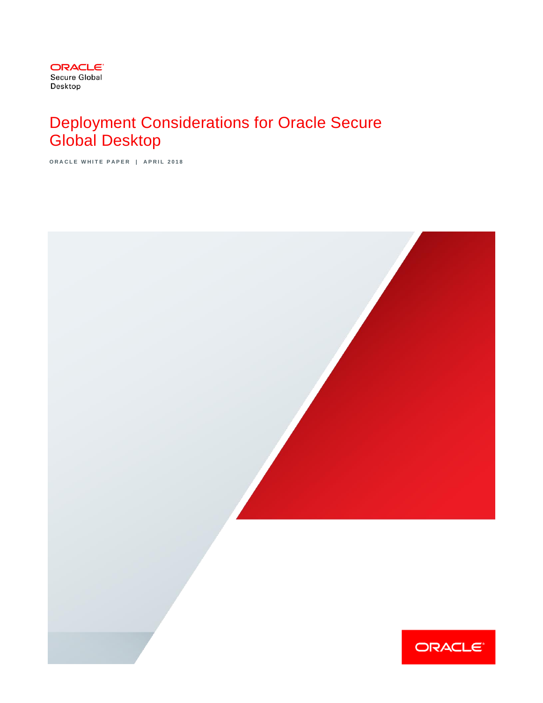

# Deployment Considerations for Oracle Secure Global Desktop

**O R A C L E W H I T E P A P E R | A P R I L 2 0 1 8**

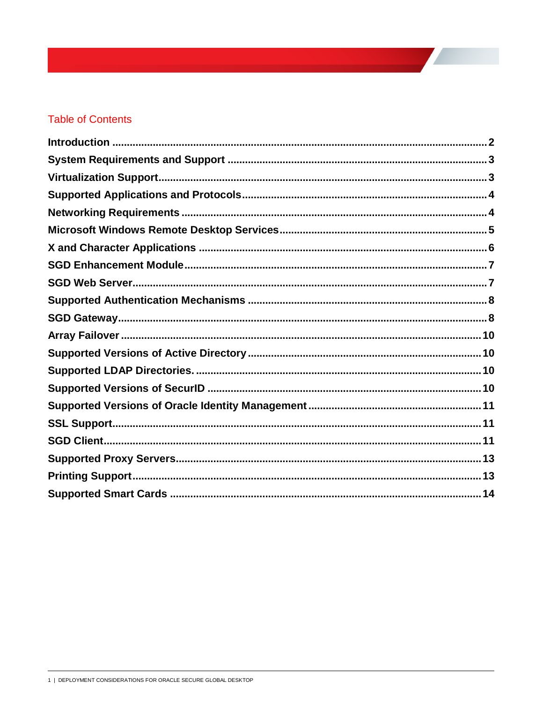# **Table of Contents**

<span id="page-1-0"></span>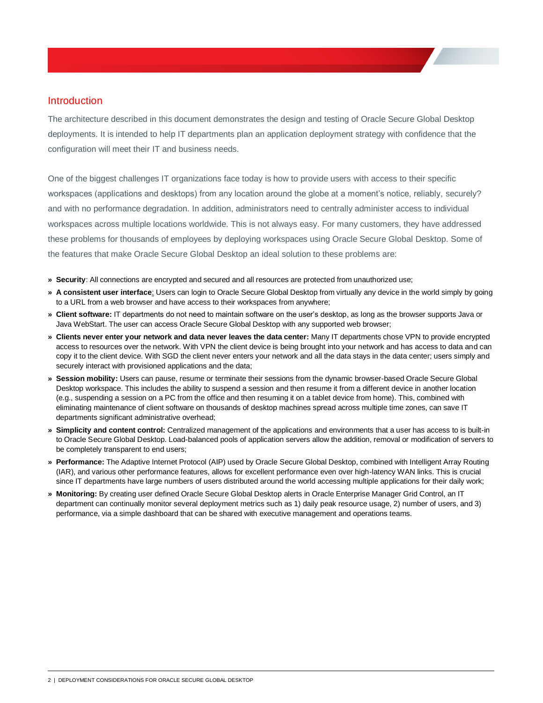### Introduction

The architecture described in this document demonstrates the design and testing of Oracle Secure Global Desktop deployments. It is intended to help IT departments plan an application deployment strategy with confidence that the configuration will meet their IT and business needs.

One of the biggest challenges IT organizations face today is how to provide users with access to their specific workspaces (applications and desktops) from any location around the globe at a moment's notice, reliably, securely? and with no performance degradation. In addition, administrators need to centrally administer access to individual workspaces across multiple locations worldwide. This is not always easy. For many customers, they have addressed these problems for thousands of employees by deploying workspaces using Oracle Secure Global Desktop. Some of the features that make Oracle Secure Global Desktop an ideal solution to these problems are:

- **» Security**: All connections are encrypted and secured and all resources are protected from unauthorized use;
- **» A consistent user interface**: Users can login to Oracle Secure Global Desktop from virtually any device in the world simply by going to a URL from a web browser and have access to their workspaces from anywhere;
- **» Client software:** IT departments do not need to maintain software on the user's desktop, as long as the browser supports Java or Java WebStart. The user can access Oracle Secure Global Desktop with any supported web browser;
- **» Clients never enter your network and data never leaves the data center:** Many IT departments chose VPN to provide encrypted access to resources over the network. With VPN the client device is being brought into your network and has access to data and can copy it to the client device. With SGD the client never enters your network and all the data stays in the data center; users simply and securely interact with provisioned applications and the data;
- **» Session mobility:** Users can pause, resume or terminate their sessions from the dynamic browser-based Oracle Secure Global Desktop workspace. This includes the ability to suspend a session and then resume it from a different device in another location (e.g., suspending a session on a PC from the office and then resuming it on a tablet device from home). This, combined with eliminating maintenance of client software on thousands of desktop machines spread across multiple time zones, can save IT departments significant administrative overhead;
- **» Simplicity and content control:** Centralized management of the applications and environments that a user has access to is built-in to Oracle Secure Global Desktop. Load-balanced pools of application servers allow the addition, removal or modification of servers to be completely transparent to end users;
- **» Performance:** The Adaptive Internet Protocol (AIP) used by Oracle Secure Global Desktop, combined with Intelligent Array Routing (IAR), and various other performance features, allows for excellent performance even over high-latency WAN links. This is crucial since IT departments have large numbers of users distributed around the world accessing multiple applications for their daily work;
- **» Monitoring:** By creating user defined Oracle Secure Global Desktop alerts in Oracle Enterprise Manager Grid Control, an IT department can continually monitor several deployment metrics such as 1) daily peak resource usage, 2) number of users, and 3) performance, via a simple dashboard that can be shared with executive management and operations teams.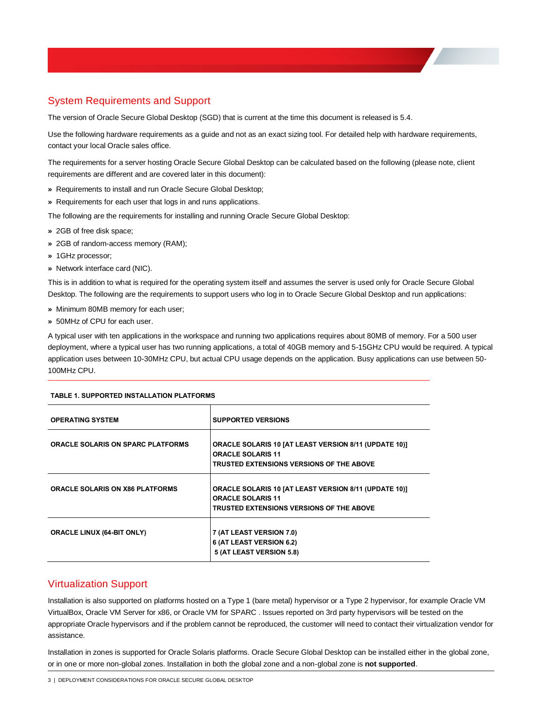# <span id="page-3-0"></span>System Requirements and Support

The version of Oracle Secure Global Desktop (SGD) that is current at the time this document is released is 5.4.

Use the following hardware requirements as a guide and not as an exact sizing tool. For detailed help with hardware requirements, contact your local Oracle sales office.

The requirements for a server hosting Oracle Secure Global Desktop can be calculated based on the following (please note, client requirements are different and are covered later in this document):

- **»** Requirements to install and run Oracle Secure Global Desktop;
- **»** Requirements for each user that logs in and runs applications.

The following are the requirements for installing and running Oracle Secure Global Desktop:

- **»** 2GB of free disk space;
- **»** 2GB of random-access memory (RAM);
- **»** 1GHz processor;
- **»** Network interface card (NIC).

This is in addition to what is required for the operating system itself and assumes the server is used only for Oracle Secure Global Desktop. The following are the requirements to support users who log in to Oracle Secure Global Desktop and run applications:

- **»** Minimum 80MB memory for each user;
- **»** 50MHz of CPU for each user.

A typical user with ten applications in the workspace and running two applications requires about 80MB of memory. For a 500 user deployment, where a typical user has two running applications, a total of 40GB memory and 5-15GHz CPU would be required. A typical application uses between 10-30MHz CPU, but actual CPU usage depends on the application. Busy applications can use between 50- 100MHz CPU.

| <b>OPERATING SYSTEM</b>                  | <b>SUPPORTED VERSIONS</b>                                                                                                            |
|------------------------------------------|--------------------------------------------------------------------------------------------------------------------------------------|
| <b>ORACLE SOLARIS ON SPARC PLATFORMS</b> | <b>ORACLE SOLARIS 10 [AT LEAST VERSION 8/11 (UPDATE 10)]</b><br><b>ORACLE SOLARIS 11</b><br>TRUSTED EXTENSIONS VERSIONS OF THE ABOVE |
| <b>ORACLE SOLARIS ON X86 PLATFORMS</b>   | <b>ORACLE SOLARIS 10 [AT LEAST VERSION 8/11 (UPDATE 10)]</b><br><b>ORACLE SOLARIS 11</b><br>TRUSTED EXTENSIONS VERSIONS OF THE ABOVE |
| <b>ORACLE LINUX (64-BIT ONLY)</b>        | 7 (AT LEAST VERSION 7.0)<br>6 (AT LEAST VERSION 6.2)<br>5 (AT LEAST VERSION 5.8)                                                     |

#### **TABLE 1. SUPPORTED INSTALLATION PLATFORMS**

### <span id="page-3-1"></span>Virtualization Support

Installation is also supported on platforms hosted on a Type 1 (bare metal) hypervisor or a Type 2 hypervisor, for example Oracle VM VirtualBox, Oracle VM Server for x86, or Oracle VM for SPARC . Issues reported on 3rd party hypervisors will be tested on the appropriate Oracle hypervisors and if the problem cannot be reproduced, the customer will need to contact their virtualization vendor for assistance.

Installation in zones is supported for Oracle Solaris platforms. Oracle Secure Global Desktop can be installed either in the global zone, or in one or more non-global zones. Installation in both the global zone and a non-global zone is **not supported**.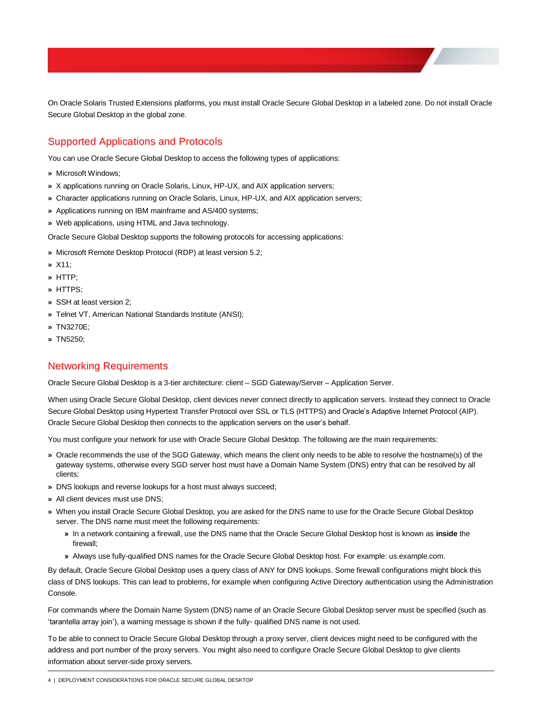On Oracle Solaris Trusted Extensions platforms, you must install Oracle Secure Global Desktop in a labeled zone. Do not install Oracle Secure Global Desktop in the global zone.

# <span id="page-4-0"></span>Supported Applications and Protocols

You can use Oracle Secure Global Desktop to access the following types of applications:

- **»** Microsoft Windows;
- **»** X applications running on Oracle Solaris, Linux, HP-UX, and AIX application servers;
- **»** Character applications running on Oracle Solaris, Linux, HP-UX, and AIX application servers;
- **»** Applications running on IBM mainframe and AS/400 systems;
- **»** Web applications, using HTML and Java technology.

Oracle Secure Global Desktop supports the following protocols for accessing applications:

- **»** Microsoft Remote Desktop Protocol (RDP) at least version 5.2;
- **»** X11;
- **»** HTTP;
- **»** HTTPS;
- **»** SSH at least version 2;
- **»** Telnet VT, American National Standards Institute (ANSI);
- **»** TN3270E;
- <span id="page-4-1"></span>**»** TN5250;

# Networking Requirements

Oracle Secure Global Desktop is a 3-tier architecture: client – SGD Gateway/Server – Application Server.

When using Oracle Secure Global Desktop, client devices never connect directly to application servers. Instead they connect to Oracle Secure Global Desktop using Hypertext Transfer Protocol over SSL or TLS (HTTPS) and Oracle's Adaptive Internet Protocol (AIP). Oracle Secure Global Desktop then connects to the application servers on the user's behalf.

You must configure your network for use with Oracle Secure Global Desktop. The following are the main requirements:

- **»** Oracle recommends the use of the SGD Gateway, which means the client only needs to be able to resolve the hostname(s) of the gateway systems, otherwise every SGD server host must have a Domain Name System (DNS) entry that can be resolved by all clients;
- **»** DNS lookups and reverse lookups for a host must always succeed;
- **»** All client devices must use DNS;
- **»** When you install Oracle Secure Global Desktop, you are asked for the DNS name to use for the Oracle Secure Global Desktop server. The DNS name must meet the following requirements:
	- **»** In a network containing a firewall, use the DNS name that the Oracle Secure Global Desktop host is known as **inside** the firewall;
	- **»** Always use fully-qualified DNS names for the Oracle Secure Global Desktop host. For example: us.example.com.

By default, Oracle Secure Global Desktop uses a query class of ANY for DNS lookups. Some firewall configurations might block this class of DNS lookups. This can lead to problems, for example when configuring Active Directory authentication using the Administration Console.

For commands where the Domain Name System (DNS) name of an Oracle Secure Global Desktop server must be specified (such as 'tarantella array join'), a warning message is shown if the fully- qualified DNS name is not used.

To be able to connect to Oracle Secure Global Desktop through a proxy server, client devices might need to be configured with the address and port number of the proxy servers. You might also need to configure Oracle Secure Global Desktop to give clients information about server-side proxy servers.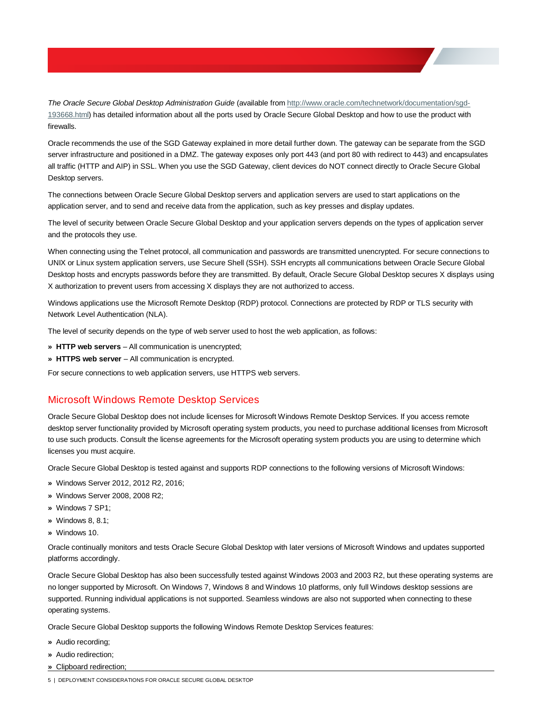*The Oracle Secure Global Desktop Administration Guide* (available from [http://www.oracle.com/technetwork/documentation/sgd-](http://www.oracle.com/technetwork/documentation/sgd-193668.html)[193668.html\)](http://www.oracle.com/technetwork/documentation/sgd-193668.html) has detailed information about all the ports used by Oracle Secure Global Desktop and how to use the product with firewalls.

Oracle recommends the use of the SGD Gateway explained in more detail further down. The gateway can be separate from the SGD server infrastructure and positioned in a DMZ. The gateway exposes only port 443 (and port 80 with redirect to 443) and encapsulates all traffic (HTTP and AIP) in SSL. When you use the SGD Gateway, client devices do NOT connect directly to Oracle Secure Global Desktop servers.

The connections between Oracle Secure Global Desktop servers and application servers are used to start applications on the application server, and to send and receive data from the application, such as key presses and display updates.

The level of security between Oracle Secure Global Desktop and your application servers depends on the types of application server and the protocols they use.

When connecting using the Telnet protocol, all communication and passwords are transmitted unencrypted. For secure connections to UNIX or Linux system application servers, use Secure Shell (SSH). SSH encrypts all communications between Oracle Secure Global Desktop hosts and encrypts passwords before they are transmitted. By default, Oracle Secure Global Desktop secures X displays using X authorization to prevent users from accessing X displays they are not authorized to access.

Windows applications use the Microsoft Remote Desktop (RDP) protocol. Connections are protected by RDP or TLS security with Network Level Authentication (NLA).

The level of security depends on the type of web server used to host the web application, as follows:

- **» HTTP web servers**  All communication is unencrypted;
- **» HTTPS web server** All communication is encrypted.

<span id="page-5-0"></span>For secure connections to web application servers, use HTTPS web servers.

### Microsoft Windows Remote Desktop Services

Oracle Secure Global Desktop does not include licenses for Microsoft Windows Remote Desktop Services. If you access remote desktop server functionality provided by Microsoft operating system products, you need to purchase additional licenses from Microsoft to use such products. Consult the license agreements for the Microsoft operating system products you are using to determine which licenses you must acquire.

Oracle Secure Global Desktop is tested against and supports RDP connections to the following versions of Microsoft Windows:

- **»** Windows Server 2012, 2012 R2, 2016;
- **»** Windows Server 2008, 2008 R2;
- **»** Windows 7 SP1;
- **»** Windows 8, 8.1;
- **»** Windows 10.

Oracle continually monitors and tests Oracle Secure Global Desktop with later versions of Microsoft Windows and updates supported platforms accordingly.

Oracle Secure Global Desktop has also been successfully tested against Windows 2003 and 2003 R2, but these operating systems are no longer supported by Microsoft. On Windows 7, Windows 8 and Windows 10 platforms, only full Windows desktop sessions are supported. Running individual applications is not supported. Seamless windows are also not supported when connecting to these operating systems.

Oracle Secure Global Desktop supports the following Windows Remote Desktop Services features:

- **»** Audio recording;
- **»** Audio redirection;
- **»** Clipboard redirection;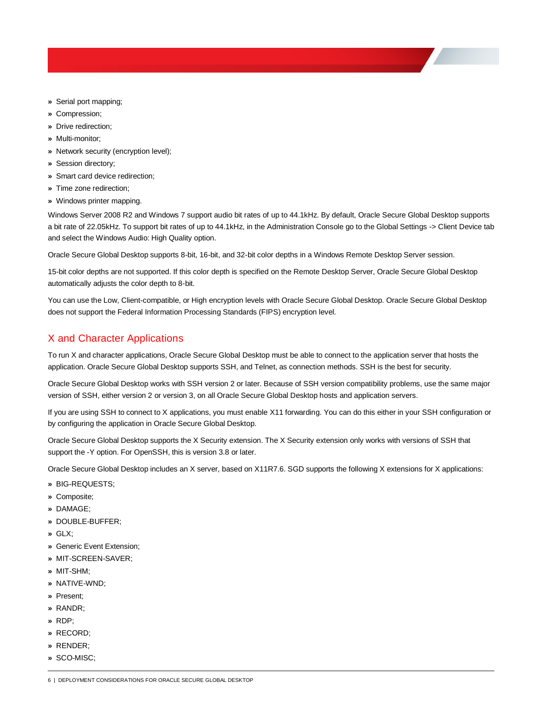- **»** Serial port mapping;
- **»** Compression;
- **»** Drive redirection;
- **»** Multi-monitor;
- **»** Network security (encryption level);
- **»** Session directory;
- **»** Smart card device redirection;
- **»** Time zone redirection;
- **»** Windows printer mapping.

Windows Server 2008 R2 and Windows 7 support audio bit rates of up to 44.1kHz. By default, Oracle Secure Global Desktop supports a bit rate of 22.05kHz. To support bit rates of up to 44.1kHz, in the Administration Console go to the Global Settings -> Client Device tab and select the Windows Audio: High Quality option.

Oracle Secure Global Desktop supports 8-bit, 16-bit, and 32-bit color depths in a Windows Remote Desktop Server session.

15-bit color depths are not supported. If this color depth is specified on the Remote Desktop Server, Oracle Secure Global Desktop automatically adjusts the color depth to 8-bit.

You can use the Low, Client-compatible, or High encryption levels with Oracle Secure Global Desktop. Oracle Secure Global Desktop does not support the Federal Information Processing Standards (FIPS) encryption level.

# <span id="page-6-0"></span>X and Character Applications

To run X and character applications, Oracle Secure Global Desktop must be able to connect to the application server that hosts the application. Oracle Secure Global Desktop supports SSH, and Telnet, as connection methods. SSH is the best for security.

Oracle Secure Global Desktop works with SSH version 2 or later. Because of SSH version compatibility problems, use the same major version of SSH, either version 2 or version 3, on all Oracle Secure Global Desktop hosts and application servers.

If you are using SSH to connect to X applications, you must enable X11 forwarding. You can do this either in your SSH configuration or by configuring the application in Oracle Secure Global Desktop.

Oracle Secure Global Desktop supports the X Security extension. The X Security extension only works with versions of SSH that support the -Y option. For OpenSSH, this is version 3.8 or later.

Oracle Secure Global Desktop includes an X server, based on X11R7.6. SGD supports the following X extensions for X applications:

- **»** BIG-REQUESTS;
- **»** Composite;
- **»** DAMAGE;
- **»** DOUBLE-BUFFER;
- **»** GLX;
- **»** Generic Event Extension;
- **»** MIT-SCREEN-SAVER;
- **»** MIT-SHM;
- **»** NATIVE-WND;
- **»** Present;
- **»** RANDR;
- **»** RDP;
- **»** RECORD;
- **»** RENDER;
- **»** SCO-MISC;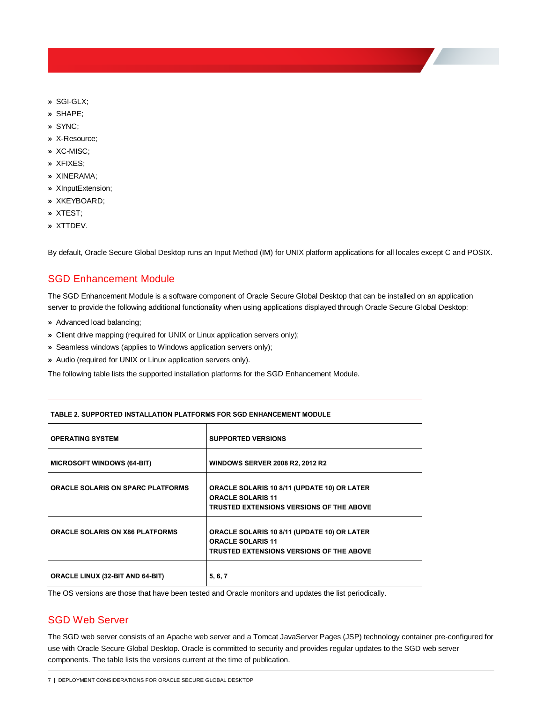- **»** SGI-GLX;
- **»** SHAPE;
- **»** SYNC;
- **»** X-Resource;
- **»** XC-MISC;
- **»** XFIXES;
- **»** XINERAMA;
- **»** XInputExtension;
- **»** XKEYBOARD;
- **»** XTEST;
- **»** XTTDEV.

By default, Oracle Secure Global Desktop runs an Input Method (IM) for UNIX platform applications for all locales except C and POSIX.

# <span id="page-7-0"></span>SGD Enhancement Module

The SGD Enhancement Module is a software component of Oracle Secure Global Desktop that can be installed on an application server to provide the following additional functionality when using applications displayed through Oracle Secure Global Desktop:

- **»** Advanced load balancing;
- **»** Client drive mapping (required for UNIX or Linux application servers only);
- **»** Seamless windows (applies to Windows application servers only);
- **»** Audio (required for UNIX or Linux application servers only).

The following table lists the supported installation platforms for the SGD Enhancement Module.

| <b>OPERATING SYSTEM</b>                  | <b>SUPPORTED VERSIONS</b>                                                                                                  |
|------------------------------------------|----------------------------------------------------------------------------------------------------------------------------|
| <b>MICROSOFT WINDOWS (64-BIT)</b>        | <b>WINDOWS SERVER 2008 R2, 2012 R2</b>                                                                                     |
| <b>ORACLE SOLARIS ON SPARC PLATFORMS</b> | ORACLE SOLARIS 10 8/11 (UPDATE 10) OR LATER<br><b>ORACLE SOLARIS 11</b><br><b>TRUSTED EXTENSIONS VERSIONS OF THE ABOVE</b> |
| <b>ORACLE SOLARIS ON X86 PLATFORMS</b>   | ORACLE SOLARIS 10 8/11 (UPDATE 10) OR LATER<br><b>ORACLE SOLARIS 11</b><br><b>TRUSTED EXTENSIONS VERSIONS OF THE ABOVE</b> |
| <b>ORACLE LINUX (32-BIT AND 64-BIT)</b>  | 5, 6, 7                                                                                                                    |

#### **TABLE 2. SUPPORTED INSTALLATION PLATFORMS FOR SGD ENHANCEMENT MODULE**

The OS versions are those that have been tested and Oracle monitors and updates the list periodically.

# <span id="page-7-1"></span>SGD Web Server

The SGD web server consists of an Apache web server and a Tomcat JavaServer Pages (JSP) technology container pre-configured for use with Oracle Secure Global Desktop. Oracle is committed to security and provides regular updates to the SGD web server components. The table lists the versions current at the time of publication.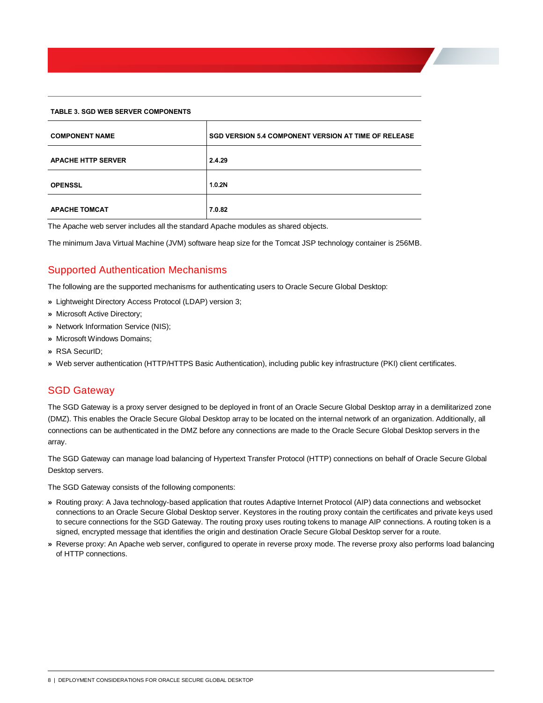#### **TABLE 3. SGD WEB SERVER COMPONENTS**

| <b>COMPONENT NAME</b>     | <b>SGD VERSION 5.4 COMPONENT VERSION AT TIME OF RELEASE</b> |
|---------------------------|-------------------------------------------------------------|
| <b>APACHE HTTP SERVER</b> | 2.4.29                                                      |
| <b>OPENSSL</b>            | 1.0.2N                                                      |
| <b>APACHE TOMCAT</b>      | 7.0.82                                                      |

The Apache web server includes all the standard Apache modules as shared objects.

The minimum Java Virtual Machine (JVM) software heap size for the Tomcat JSP technology container is 256MB.

# <span id="page-8-0"></span>Supported Authentication Mechanisms

The following are the supported mechanisms for authenticating users to Oracle Secure Global Desktop:

- **»** Lightweight Directory Access Protocol (LDAP) version 3;
- **»** Microsoft Active Directory;
- **»** Network Information Service (NIS);
- **»** Microsoft Windows Domains;
- **»** RSA SecurID;
- <span id="page-8-1"></span>**»** Web server authentication (HTTP/HTTPS Basic Authentication), including public key infrastructure (PKI) client certificates.

# SGD Gateway

The SGD Gateway is a proxy server designed to be deployed in front of an Oracle Secure Global Desktop array in a demilitarized zone (DMZ). This enables the Oracle Secure Global Desktop array to be located on the internal network of an organization. Additionally, all connections can be authenticated in the DMZ before any connections are made to the Oracle Secure Global Desktop servers in the array.

The SGD Gateway can manage load balancing of Hypertext Transfer Protocol (HTTP) connections on behalf of Oracle Secure Global Desktop servers.

The SGD Gateway consists of the following components:

- **»** Routing proxy: A Java technology-based application that routes Adaptive Internet Protocol (AIP) data connections and websocket connections to an Oracle Secure Global Desktop server. Keystores in the routing proxy contain the certificates and private keys used to secure connections for the SGD Gateway. The routing proxy uses routing tokens to manage AIP connections. A routing token is a signed, encrypted message that identifies the origin and destination Oracle Secure Global Desktop server for a route.
- **»** Reverse proxy: An Apache web server, configured to operate in reverse proxy mode. The reverse proxy also performs load balancing of HTTP connections.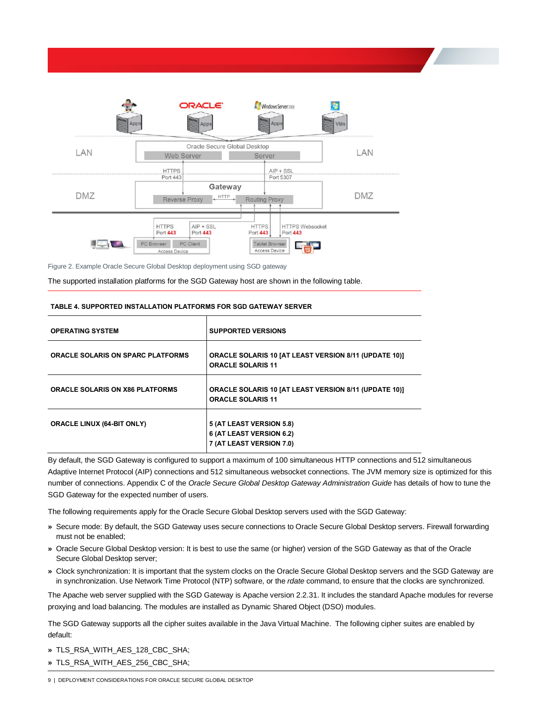

Figure 2. Example Oracle Secure Global Desktop deployment using SGD gateway

The supported installation platforms for the SGD Gateway host are shown in the following table.

| <b>OPERATING SYSTEM</b>                  | <b>SUPPORTED VERSIONS</b>                                                                |
|------------------------------------------|------------------------------------------------------------------------------------------|
| <b>ORACLE SOLARIS ON SPARC PLATFORMS</b> | ORACLE SOLARIS 10 [AT LEAST VERSION 8/11 (UPDATE 10)]<br><b>ORACLE SOLARIS 11</b>        |
| <b>ORACLE SOLARIS ON X86 PLATFORMS</b>   | <b>ORACLE SOLARIS 10 [AT LEAST VERSION 8/11 (UPDATE 10)]</b><br><b>ORACLE SOLARIS 11</b> |
| <b>ORACLE LINUX (64-BIT ONLY)</b>        | 5 (AT LEAST VERSION 5.8)<br>6 (AT LEAST VERSION 6.2)<br>7 (AT LEAST VERSION 7.0)         |

#### **TABLE 4. SUPPORTED INSTALLATION PLATFORMS FOR SGD GATEWAY SERVER**

By default, the SGD Gateway is configured to support a maximum of 100 simultaneous HTTP connections and 512 simultaneous Adaptive Internet Protocol (AIP) connections and 512 simultaneous websocket connections. The JVM memory size is optimized for this number of connections. Appendix C of the *Oracle Secure Global Desktop Gateway Administration Guide* has details of how to tune the SGD Gateway for the expected number of users.

The following requirements apply for the Oracle Secure Global Desktop servers used with the SGD Gateway:

- **»** Secure mode: By default, the SGD Gateway uses secure connections to Oracle Secure Global Desktop servers. Firewall forwarding must not be enabled;
- **»** Oracle Secure Global Desktop version: It is best to use the same (or higher) version of the SGD Gateway as that of the Oracle Secure Global Desktop server;
- **»** Clock synchronization: It is important that the system clocks on the Oracle Secure Global Desktop servers and the SGD Gateway are in synchronization. Use Network Time Protocol (NTP) software, or the *rdate* command, to ensure that the clocks are synchronized.

The Apache web server supplied with the SGD Gateway is Apache version 2.2.31. It includes the standard Apache modules for reverse proxying and load balancing. The modules are installed as Dynamic Shared Object (DSO) modules.

The SGD Gateway supports all the cipher suites available in the Java Virtual Machine. The following cipher suites are enabled by default:

- **»** TLS\_RSA\_WITH\_AES\_128\_CBC\_SHA;
- **»** TLS\_RSA\_WITH\_AES\_256\_CBC\_SHA;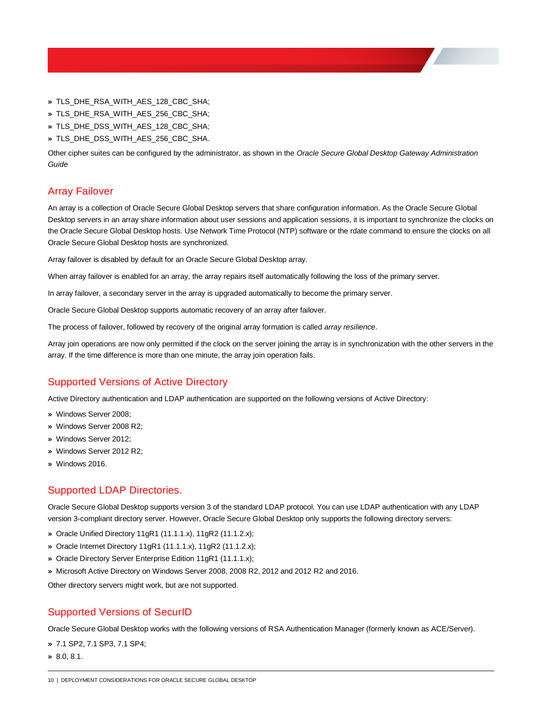- **»** TLS\_DHE\_RSA\_WITH\_AES\_128\_CBC\_SHA;
- **»** TLS\_DHE\_RSA\_WITH\_AES\_256\_CBC\_SHA;
- **»** TLS\_DHE\_DSS\_WITH\_AES\_128\_CBC\_SHA;
- **»** TLS\_DHE\_DSS\_WITH\_AES\_256\_CBC\_SHA.

Other cipher suites can be configured by the administrator, as shown in the *Oracle Secure Global Desktop Gateway Administration Guide*

# <span id="page-10-0"></span>Array Failover

An array is a collection of Oracle Secure Global Desktop servers that share configuration information. As the Oracle Secure Global Desktop servers in an array share information about user sessions and application sessions, it is important to synchronize the clocks on the Oracle Secure Global Desktop hosts. Use Network Time Protocol (NTP) software or the rdate command to ensure the clocks on all Oracle Secure Global Desktop hosts are synchronized.

Array failover is disabled by default for an Oracle Secure Global Desktop array.

When array failover is enabled for an array, the array repairs itself automatically following the loss of the primary server.

In array failover, a secondary server in the array is upgraded automatically to become the primary server.

Oracle Secure Global Desktop supports automatic recovery of an array after failover.

The process of failover, followed by recovery of the original array formation is called *array resilience*.

Array join operations are now only permitted if the clock on the server joining the array is in synchronization with the other servers in the array. If the time difference is more than one minute, the array join operation fails.

# <span id="page-10-1"></span>Supported Versions of Active Directory

Active Directory authentication and LDAP authentication are supported on the following versions of Active Directory:

- **»** Windows Server 2008;
- **»** Windows Server 2008 R2;
- **»** Windows Server 2012;
- **»** Windows Server 2012 R2;
- <span id="page-10-2"></span>**»** Windows 2016.

# Supported LDAP Directories.

Oracle Secure Global Desktop supports version 3 of the standard LDAP protocol. You can use LDAP authentication with any LDAP version 3-compliant directory server. However, Oracle Secure Global Desktop only supports the following directory servers:

- **»** Oracle Unified Directory 11gR1 (11.1.1.x), 11gR2 (11.1.2.x);
- **»** Oracle Internet Directory 11gR1 (11.1.1.x), 11gR2 (11.1.2.x);
- **»** Oracle Directory Server Enterprise Edition 11gR1 (11.1.1.x);
- **»** Microsoft Active Directory on Windows Server 2008, 2008 R2, 2012 and 2012 R2 and 2016.

Other directory servers might work, but are not supported.

# <span id="page-10-3"></span>Supported Versions of SecurID

Oracle Secure Global Desktop works with the following versions of RSA Authentication Manager (formerly known as ACE/Server).

- **»** 7.1 SP2, 7.1 SP3, 7.1 SP4;
- **»** 8.0, 8.1.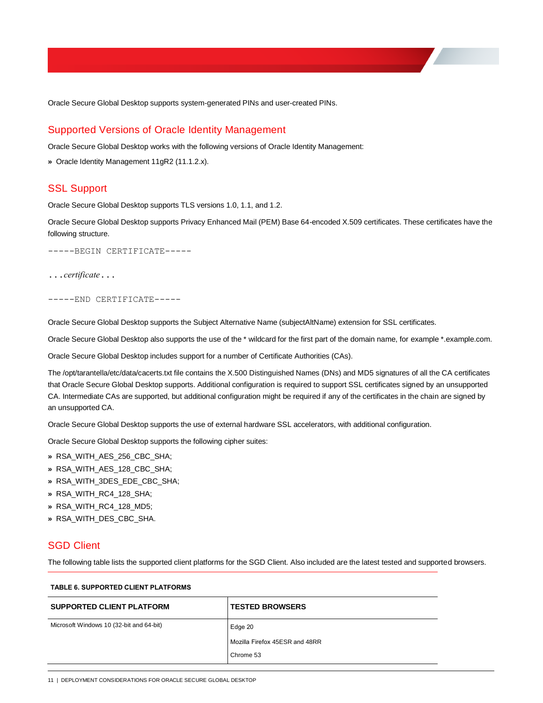Oracle Secure Global Desktop supports system-generated PINs and user-created PINs.

## <span id="page-11-0"></span>Supported Versions of Oracle Identity Management

Oracle Secure Global Desktop works with the following versions of Oracle Identity Management:

<span id="page-11-1"></span>**»** Oracle Identity Management 11gR2 (11.1.2.x).

### SSL Support

Oracle Secure Global Desktop supports TLS versions 1.0, 1.1, and 1.2.

Oracle Secure Global Desktop supports Privacy Enhanced Mail (PEM) Base 64-encoded X.509 certificates. These certificates have the following structure.

-----BEGIN CERTIFICATE-----

...*certificate*...

-----END CERTIFICATE-----

Oracle Secure Global Desktop supports the Subject Alternative Name (subjectAltName) extension for SSL certificates.

Oracle Secure Global Desktop also supports the use of the \* wildcard for the first part of the domain name, for example \*.example.com.

Oracle Secure Global Desktop includes support for a number of Certificate Authorities (CAs).

The /opt/tarantella/etc/data/cacerts.txt file contains the X.500 Distinguished Names (DNs) and MD5 signatures of all the CA certificates that Oracle Secure Global Desktop supports. Additional configuration is required to support SSL certificates signed by an unsupported CA. Intermediate CAs are supported, but additional configuration might be required if any of the certificates in the chain are signed by an unsupported CA.

Oracle Secure Global Desktop supports the use of external hardware SSL accelerators, with additional configuration.

Oracle Secure Global Desktop supports the following cipher suites:

- **»** RSA\_WITH\_AES\_256\_CBC\_SHA;
- **»** RSA\_WITH\_AES\_128\_CBC\_SHA;
- **»** RSA\_WITH\_3DES\_EDE\_CBC\_SHA;
- **»** RSA\_WITH\_RC4\_128\_SHA;
- **»** RSA\_WITH\_RC4\_128\_MD5;
- <span id="page-11-2"></span>**»** RSA\_WITH\_DES\_CBC\_SHA.

### SGD Client

The following table lists the supported client platforms for the SGD Client. Also included are the latest tested and supported browsers.

| <b>SUPPORTED CLIENT PLATFORM</b>         | <b>TESTED BROWSERS</b>                |
|------------------------------------------|---------------------------------------|
| Microsoft Windows 10 (32-bit and 64-bit) | Edge 20                               |
|                                          | <b>Mozilla Firefox 45ESR and 48RR</b> |
|                                          | Chrome 53                             |

#### **TABLE 6. SUPPORTED CLIENT PLATFORMS**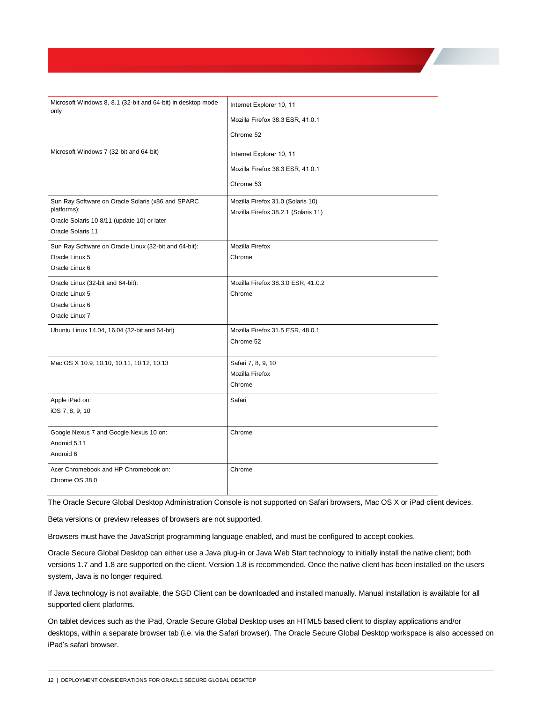| Microsoft Windows 8, 8.1 (32-bit and 64-bit) in desktop mode<br>only | Internet Explorer 10, 11            |
|----------------------------------------------------------------------|-------------------------------------|
|                                                                      | Mozilla Firefox 38.3 ESR, 41.0.1    |
|                                                                      | Chrome 52                           |
| Microsoft Windows 7 (32-bit and 64-bit)                              | Internet Explorer 10, 11            |
|                                                                      | Mozilla Firefox 38.3 ESR, 41.0.1    |
|                                                                      | Chrome 53                           |
| Sun Ray Software on Oracle Solaris (x86 and SPARC                    | Mozilla Firefox 31.0 (Solaris 10)   |
| platforms):                                                          | Mozilla Firefox 38.2.1 (Solaris 11) |
| Oracle Solaris 10 8/11 (update 10) or later<br>Oracle Solaris 11     |                                     |
|                                                                      |                                     |
| Sun Ray Software on Oracle Linux (32-bit and 64-bit):                | Mozilla Firefox                     |
| Oracle Linux 5                                                       | Chrome                              |
| Oracle Linux 6                                                       |                                     |
| Oracle Linux (32-bit and 64-bit):                                    | Mozilla Firefox 38.3.0 ESR, 41.0.2  |
| Oracle Linux 5                                                       | Chrome                              |
| Oracle Linux 6                                                       |                                     |
| Oracle Linux 7                                                       |                                     |
| Ubuntu Linux 14.04, 16.04 (32-bit and 64-bit)                        | Mozilla Firefox 31.5 ESR, 48.0.1    |
|                                                                      | Chrome 52                           |
|                                                                      |                                     |
| Mac OS X 10.9, 10.10, 10.11, 10.12, 10.13                            | Safari 7, 8, 9, 10                  |
|                                                                      | Mozilla Firefox                     |
|                                                                      | Chrome                              |
| Apple iPad on:                                                       | Safari                              |
| iOS 7, 8, 9, 10                                                      |                                     |
| Google Nexus 7 and Google Nexus 10 on:                               | Chrome                              |
| Android 5.11                                                         |                                     |
| Android 6                                                            |                                     |
| Acer Chromebook and HP Chromebook on:                                | Chrome                              |
| Chrome OS 38.0                                                       |                                     |
|                                                                      |                                     |

The Oracle Secure Global Desktop Administration Console is not supported on Safari browsers, Mac OS X or iPad client devices.

Beta versions or preview releases of browsers are not supported.

Browsers must have the JavaScript programming language enabled, and must be configured to accept cookies.

Oracle Secure Global Desktop can either use a Java plug-in or Java Web Start technology to initially install the native client; both versions 1.7 and 1.8 are supported on the client. Version 1.8 is recommended. Once the native client has been installed on the users system, Java is no longer required.

If Java technology is not available, the SGD Client can be downloaded and installed manually. Manual installation is available for all supported client platforms.

On tablet devices such as the iPad, Oracle Secure Global Desktop uses an HTML5 based client to display applications and/or desktops, within a separate browser tab (i.e. via the Safari browser). The Oracle Secure Global Desktop workspace is also accessed on iPad's safari browser.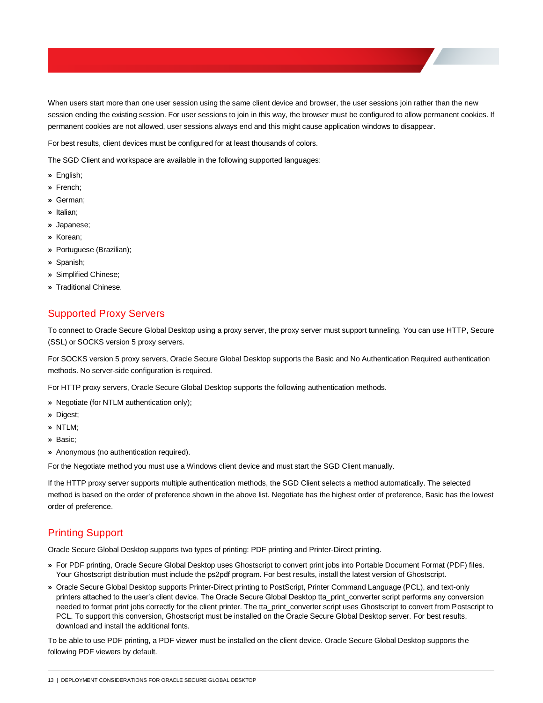When users start more than one user session using the same client device and browser, the user sessions join rather than the new session ending the existing session. For user sessions to join in this way, the browser must be configured to allow permanent cookies. If permanent cookies are not allowed, user sessions always end and this might cause application windows to disappear.

For best results, client devices must be configured for at least thousands of colors.

The SGD Client and workspace are available in the following supported languages:

- **»** English;
- **»** French;
- **»** German;
- **»** Italian;
- **»** Japanese;
- **»** Korean;
- **»** Portuguese (Brazilian);
- **»** Spanish;
- **»** Simplified Chinese;
- <span id="page-13-0"></span>**»** Traditional Chinese.

# Supported Proxy Servers

To connect to Oracle Secure Global Desktop using a proxy server, the proxy server must support tunneling. You can use HTTP, Secure (SSL) or SOCKS version 5 proxy servers.

For SOCKS version 5 proxy servers, Oracle Secure Global Desktop supports the Basic and No Authentication Required authentication methods. No server-side configuration is required.

For HTTP proxy servers, Oracle Secure Global Desktop supports the following authentication methods.

- **»** Negotiate (for NTLM authentication only);
- **»** Digest;
- **»** NTLM;
- **»** Basic;
- **»** Anonymous (no authentication required).

For the Negotiate method you must use a Windows client device and must start the SGD Client manually.

If the HTTP proxy server supports multiple authentication methods, the SGD Client selects a method automatically. The selected method is based on the order of preference shown in the above list. Negotiate has the highest order of preference, Basic has the lowest order of preference.

# <span id="page-13-1"></span>Printing Support

Oracle Secure Global Desktop supports two types of printing: PDF printing and Printer-Direct printing.

- **»** For PDF printing, Oracle Secure Global Desktop uses Ghostscript to convert print jobs into Portable Document Format (PDF) files. Your Ghostscript distribution must include the ps2pdf program. For best results, install the latest version of Ghostscript.
- **»** Oracle Secure Global Desktop supports Printer-Direct printing to PostScript, Printer Command Language (PCL), and text-only printers attached to the user's client device. The Oracle Secure Global Desktop tta\_print\_converter script performs any conversion needed to format print jobs correctly for the client printer. The tta\_print\_converter script uses Ghostscript to convert from Postscript to PCL. To support this conversion, Ghostscript must be installed on the Oracle Secure Global Desktop server. For best results, download and install the additional fonts.

To be able to use PDF printing, a PDF viewer must be installed on the client device. Oracle Secure Global Desktop supports the following PDF viewers by default.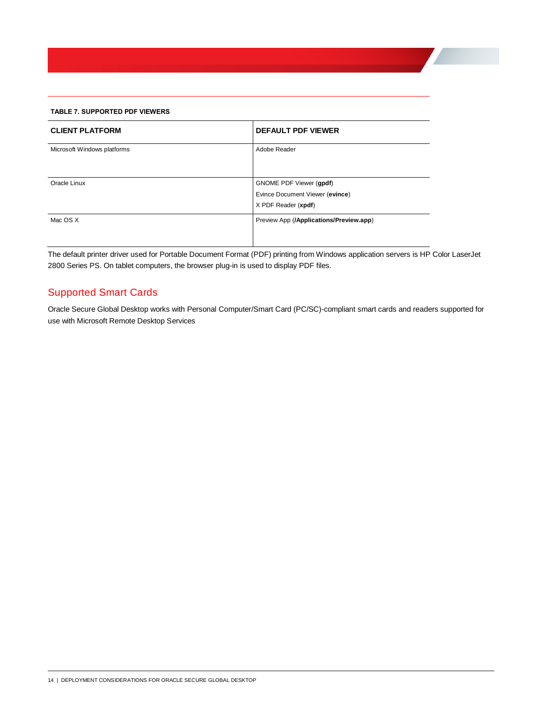#### **TABLE 7. SUPPORTED PDF VIEWERS**

| <b>CLIENT PLATFORM</b>      | <b>DEFAULT PDF VIEWER</b>                                                         |
|-----------------------------|-----------------------------------------------------------------------------------|
| Microsoft Windows platforms | Adobe Reader                                                                      |
| Oracle Linux                | GNOME PDF Viewer (gpdf)<br>Evince Document Viewer (evince)<br>X PDF Reader (xpdf) |
| Mac OS X                    | Preview App (/Applications/Preview.app)                                           |

The default printer driver used for Portable Document Format (PDF) printing from Windows application servers is HP Color LaserJet 2800 Series PS. On tablet computers, the browser plug-in is used to display PDF files.

# <span id="page-14-0"></span>Supported Smart Cards

Oracle Secure Global Desktop works with Personal Computer/Smart Card (PC/SC)-compliant smart cards and readers supported for use with Microsoft Remote Desktop Services